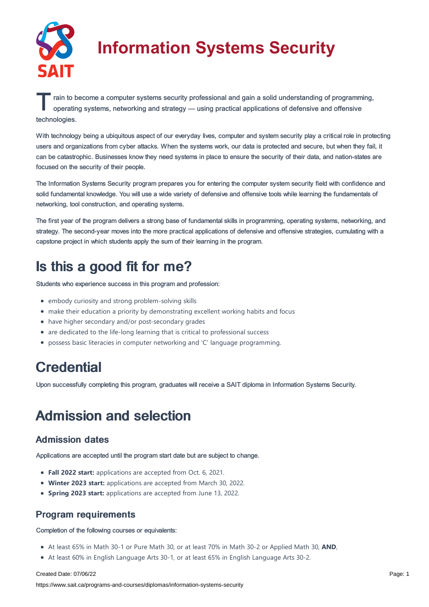

# **Information Systems Security**

T rain to become a computer systems security professional and gain a solid understanding of programming, operating systems, networking and strategy — using practical applications of defensive and offensive operating systems, networking and strategy — using practical applications of defensive and offensive technologies.

With technology being a ubiquitous aspect of our everyday lives, computer and system security play a critical role in protecting users and organizations from cyber attacks. When the systems work, our data is protected and secure, but when they fail, it can be catastrophic. Businesses know they need systems in place to ensure the security of their data, and nation-states are focused on the security of their people.

The Information Systems Security program prepares you for entering the computer system security field with confidence and solid fundamental knowledge. You will use a wide variety of defensive and offensive tools while learning the fundamentals of networking, tool construction, and operating systems.

The first year of the program delivers a strong base of fundamental skills in programming, operating systems, networking, and strategy. The second-year moves into the more practical applications of defensive and offensive strategies, cumulating with a capstone project in which students apply the sum of their learning in the program.

## Is this a good fit for me?

Students who experience success in this program and profession:

- embody curiosity and strong problem-solving skills
- make their education a priority by demonstrating excellent working habits and focus
- have higher secondary and/or post-secondary grades
- are dedicated to the life-long learning that is critical to professional success
- possess basic literacies in computer networking and 'C' language programming.

## **Credential**

Upon successfully completing this program, graduates will receive a SAIT diploma in Information Systems Security.

## Admission and selection

### Admission dates

Applications are accepted until the program start date but are subject to change.

- **Fall 2022 start:** applications are accepted from Oct. 6, 2021.
- **Winter 2023 start:** applications are accepted from March 30, 2022.
- **Spring 2023 start:** applications are accepted from June 13, 2022.

### Program requirements

Completion of the following courses or equivalents:

- At least 65% in Math 30-1 or Pure Math 30, or at least 70% in Math 30-2 or Applied Math 30, **AND**,
- At least 60% in English Language Arts 30-1, or at least 65% in English Language Arts 30-2.

#### Created Date: 07/06/22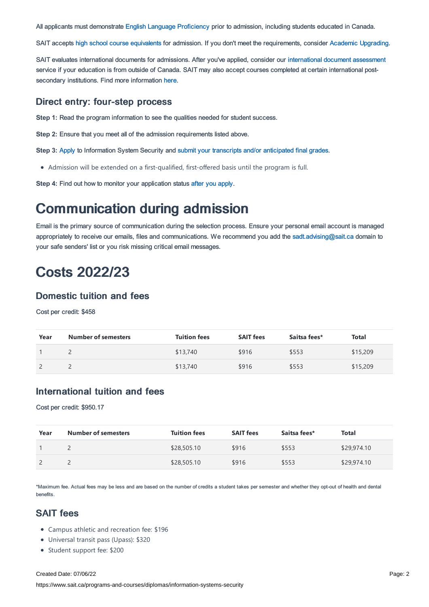All applicants must demonstrate English Language [Proficiency](https://www.sait.ca/admissions/before-you-apply/english-proficiency) prior to admission, including students educated in Canada.

SAIT accepts high school course [equivalents](https://www.sait.ca/admissions/before-you-apply/high-school-course-equivalencies) for admission. If you don't meet the requirements, consider Academic [Upgrading.](https://www.sait.ca/programs-and-courses/academic-upgrading)

SAIT evaluates international documents for admissions. After you've applied, consider our [international](https://www.sait.ca/admissions/after-you-apply/international-document-assessment) document assessment service if your education is from outside of Canada. SAIT may also accept courses completed at certain international postsecondary institutions. Find more information [here.](https://www.sait.ca/admissions/after-you-apply/international-institution-academic-partnerships)

#### Direct entry: four-step process

**Step 1:** Read the program information to see the qualities needed for student success.

**Step 2:** Ensure that you meet all of the admission requirements listed above.

**Step 3:** [Apply](https://www.sait.ca/admissions/apply) to Information System Security and submit your transcripts and/or [anticipated](https://www.sait.ca/admissions/after-you-apply/transcripts-and-supporting-documents) final grades.

Admission will be extended on a first-qualified, first-offered basis until the program is full.

**Step 4:** Find out how to monitor your application status after you [apply](https://www.sait.ca/admissions/after-you-apply/tracking-your-application).

### Communication during admission

Email is the primary source of communication during the selection process. Ensure your personal email account is managed appropriately to receive our emails, files and communications. We recommend you add the [sadt.advising@sait.ca](https://sait.camailto:sadt.advising@sait.ca) domain to your safe senders' list or you risk missing critical email messages.

### Costs 2022/23

#### Domestic tuition and fees

Cost per credit: \$458

| Year | <b>Number of semesters</b> | <b>Tuition fees</b> | <b>SAIT fees</b> | Saitsa fees* | Total    |
|------|----------------------------|---------------------|------------------|--------------|----------|
|      |                            | \$13,740            | \$916            | \$553        | \$15,209 |
|      |                            | \$13,740            | \$916            | \$553        | \$15,209 |

### International tuition and fees

Cost per credit: \$950.17

| Year | <b>Number of semesters</b> | <b>Tuition fees</b> | <b>SAIT fees</b> | Saitsa fees* | Total       |
|------|----------------------------|---------------------|------------------|--------------|-------------|
|      |                            | \$28,505.10         | \$916            | \$553        | \$29,974.10 |
|      |                            | \$28,505.10         | \$916            | \$553        | \$29,974.10 |

\*Maximum fee. Actual fees may be less and are based on the number of credits a student takes per semester and whether they opt-out of health and dental benefits.

### SAIT fees

- Campus athletic and recreation fee: \$196
- Universal transit pass (Upass): \$320
- Student support fee: \$200

#### Created Date: 07/06/22

https://www.sait.ca/programs-and-courses/diplomas/information-systems-security